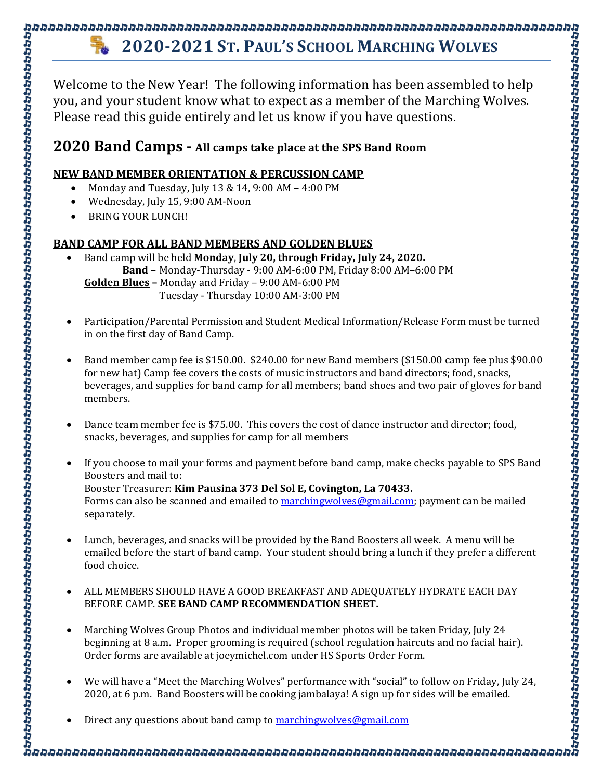## **2020-2021 ST. PAUL'S SCHOOL MARCHING WOLVES**

Welcome to the New Year! The following information has been assembled to help you, and your student know what to expect as a member of the Marching Wolves. Please read this guide entirely and let us know if you have questions.

## **2020 Band Camps - All camps take place at the SPS Band Room**

## **NEW BAND MEMBER ORIENTATION & PERCUSSION CAMP**

- Monday and Tuesday, July 13 & 14, 9:00 AM 4:00 PM
- Wednesday, July 15, 9:00 AM-Noon
- BRING YOUR LUNCH!

## **BAND CAMP FOR ALL BAND MEMBERS AND GOLDEN BLUES**

• Band camp will be held **Monday**, **July 20, through Friday, July 24, 2020. Band –** Monday-Thursday - 9:00 AM-6:00 PM, Friday 8:00 AM–6:00 PM **Golden Blues –** Monday and Friday – 9:00 AM-6:00 PM Tuesday - Thursday 10:00 AM-3:00 PM

- Participation/Parental Permission and Student Medical Information/Release Form must be turned in on the first day of Band Camp.
- Band member camp fee is \$150.00. \$240.00 for new Band members (\$150.00 camp fee plus \$90.00 for new hat) Camp fee covers the costs of music instructors and band directors; food, snacks, beverages, and supplies for band camp for all members; band shoes and two pair of gloves for band members.

- Dance team member fee is \$75.00. This covers the cost of dance instructor and director; food, snacks, beverages, and supplies for camp for all members
- If you choose to mail your forms and payment before band camp, make checks payable to SPS Band Boosters and mail to: Booster Treasurer: **Kim Pausina 373 Del Sol E, Covington, La 70433.**  Forms can also be scanned and emailed to **marchingwolves@gmail.com**; payment can be mailed separately.
- Lunch, beverages, and snacks will be provided by the Band Boosters all week. A menu will be emailed before the start of band camp. Your student should bring a lunch if they prefer a different food choice.
- ALL MEMBERS SHOULD HAVE A GOOD BREAKFAST AND ADEQUATELY HYDRATE EACH DAY BEFORE CAMP. **SEE BAND CAMP RECOMMENDATION SHEET.**
- Marching Wolves Group Photos and individual member photos will be taken Friday, July 24 beginning at 8 a.m. Proper grooming is required (school regulation haircuts and no facial hair). Order forms are available at joeymichel.com under HS Sports Order Form.
- We will have a "Meet the Marching Wolves" performance with "social" to follow on Friday, July 24, 2020, at 6 p.m. Band Boosters will be cooking jambalaya! A sign up for sides will be emailed.
- Direct any questions about band camp t[o marchingwolves@gmail.com](mailto:marchingwolves@gmail.com)